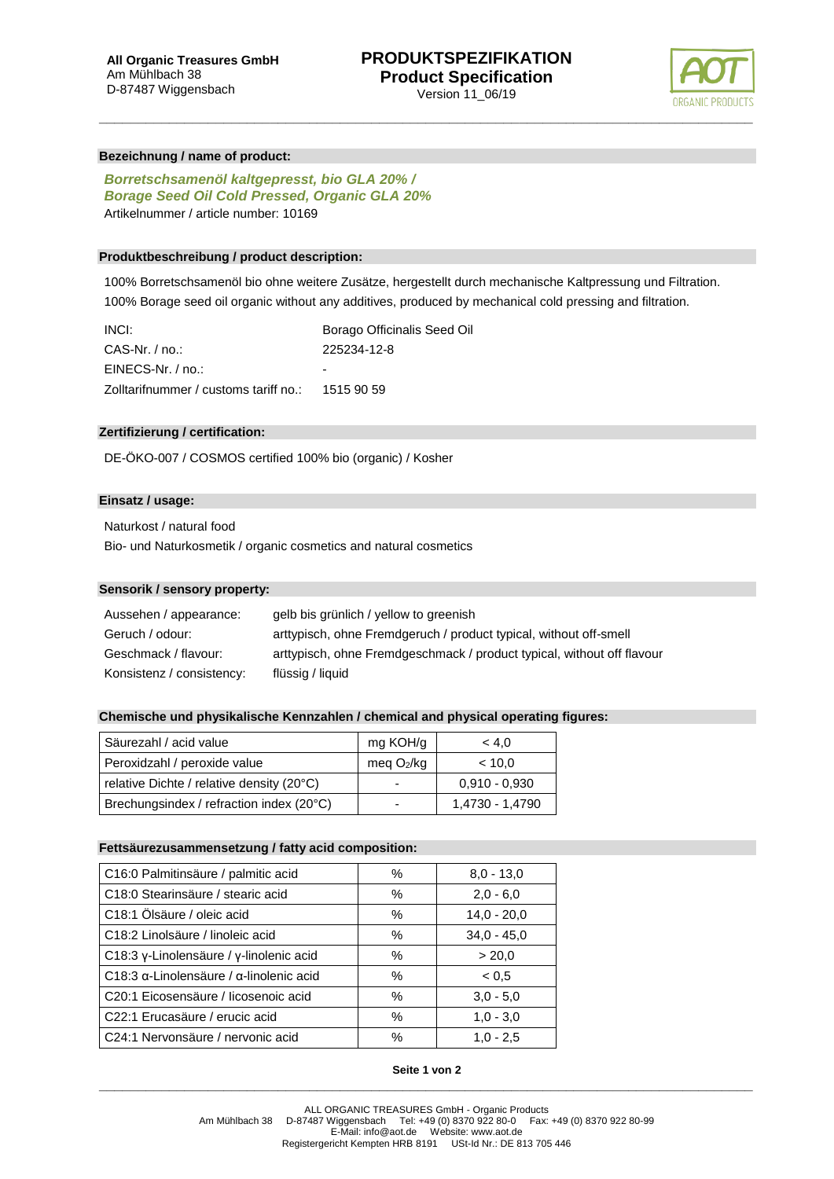

# **Bezeichnung / name of product:**

*Borretschsamenöl kaltgepresst, bio GLA 20% / Borage Seed Oil Cold Pressed, Organic GLA 20%* Artikelnummer / article number: 10169

# **Produktbeschreibung / product description:**

100% Borretschsamenöl bio ohne weitere Zusätze, hergestellt durch mechanische Kaltpressung und Filtration. 100% Borage seed oil organic without any additives, produced by mechanical cold pressing and filtration.

**\_\_\_\_\_\_\_\_\_\_\_\_\_\_\_\_\_\_\_\_\_\_\_\_\_\_\_\_\_\_\_\_\_\_\_\_\_\_\_\_\_\_\_\_\_\_\_\_\_\_\_\_\_\_\_\_\_\_\_\_\_\_\_\_\_\_\_\_\_\_\_\_\_\_\_\_\_\_\_\_\_\_\_\_**

| INCI:                                            | Borago Officinalis Seed Oil |
|--------------------------------------------------|-----------------------------|
| $CAS-Nr.$ / no.:                                 | 225234-12-8                 |
| EINECS-Nr. / no.:                                |                             |
| Zolltarifnummer / customs tariff no.: 1515 90 59 |                             |

## **Zertifizierung / certification:**

DE-ÖKO-007 / COSMOS certified 100% bio (organic) / Kosher

# **Einsatz / usage:**

Naturkost / natural food

Bio- und Naturkosmetik / organic cosmetics and natural cosmetics

# **Sensorik / sensory property:**

| Aussehen / appearance:    | gelb bis grünlich / yellow to greenish                                 |
|---------------------------|------------------------------------------------------------------------|
| Geruch / odour:           | arttypisch, ohne Fremdgeruch / product typical, without off-smell      |
| Geschmack / flavour:      | arttypisch, ohne Fremdgeschmack / product typical, without off flavour |
| Konsistenz / consistency: | flüssig / liquid                                                       |

# **Chemische und physikalische Kennzahlen / chemical and physical operating figures:**

| Säurezahl / acid value                    | mg KOH/g     | < 4.0           |
|-------------------------------------------|--------------|-----------------|
| Peroxidzahl / peroxide value              | meg $O_2/kg$ | ~< 10.0         |
| relative Dichte / relative density (20°C) |              | $0.910 - 0.930$ |
| Brechungsindex / refraction index (20°C)  |              | 1,4730 - 1,4790 |

#### **Fettsäurezusammensetzung / fatty acid composition:**

| C16:0 Palmitinsäure / palmitic acid                     | %    | $8,0 - 13,0$  |
|---------------------------------------------------------|------|---------------|
| C18:0 Stearinsäure / stearic acid                       | %    | $2,0 - 6,0$   |
| C18:1 Ölsäure / oleic acid                              | %    | $14.0 - 20.0$ |
| C18:2 Linolsäure / linoleic acid                        | %    | $34.0 - 45.0$ |
| C18:3 γ-Linolensäure / γ-linolenic acid                 | %    | > 20.0        |
| C18:3 $\alpha$ -Linolensäure / $\alpha$ -linolenic acid | $\%$ | < 0.5         |
| C20:1 Eicosensäure / licosenoic acid                    | %    | $3.0 - 5.0$   |
| C22:1 Erucasäure / erucic acid                          | $\%$ | $1,0 - 3,0$   |
| C24:1 Nervonsäure / nervonic acid                       | $\%$ | $1,0 - 2,5$   |

# **Seite 1 von 2 \_\_\_\_\_\_\_\_\_\_\_\_\_\_\_\_\_\_\_\_\_\_\_\_\_\_\_\_\_\_\_\_\_\_\_\_\_\_\_\_\_\_\_\_\_\_\_\_\_\_\_\_\_\_\_\_\_\_\_\_\_\_\_\_\_\_\_\_\_\_\_\_\_\_\_\_\_\_\_\_\_\_\_\_**